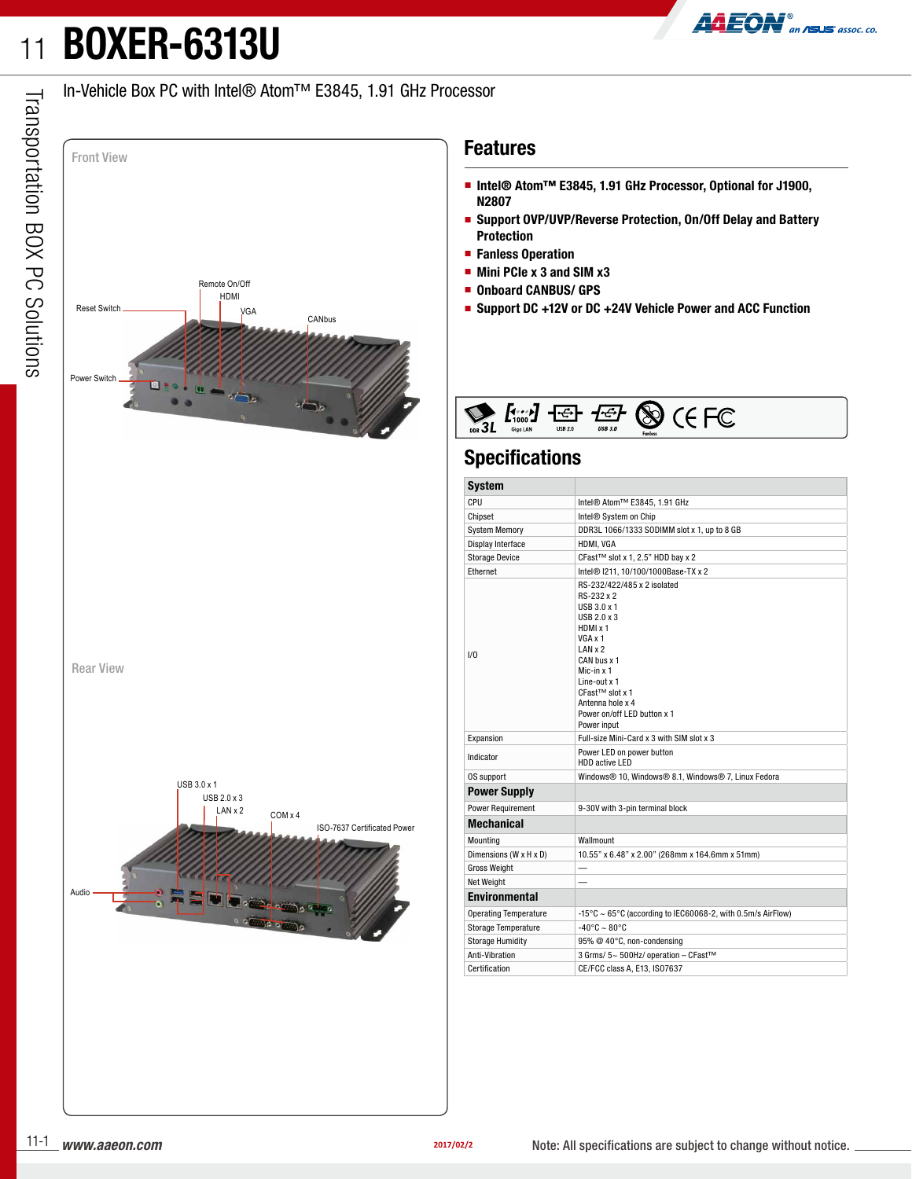## 11**BOXER-6313U**



## In-Vehicle Box PC with Intel® Atom™ E3845, 1.91 GHz Processor



## **Features**

- **Intel® Atom™ E3845, 1.91 GHz Processor, Optional for J1900, N2807**
- **Support OVP/UVP/Reverse Protection, On/Off Delay and Battery Protection**
- **Fanless Operation**
- **Mini PCIe x 3 and SIM x3**
- **Onboard CANBUS/ GPS**
- **Support DC +12V or DC +24V Vehicle Power and ACC Function**



### **Specifications**

| <b>System</b>                |                                                                                                                                                                                                                                                               |  |  |  |  |  |  |  |
|------------------------------|---------------------------------------------------------------------------------------------------------------------------------------------------------------------------------------------------------------------------------------------------------------|--|--|--|--|--|--|--|
| CPU                          | Intel® Atom™ E3845, 1.91 GHz                                                                                                                                                                                                                                  |  |  |  |  |  |  |  |
| Chipset                      | Intel <sup>®</sup> System on Chip                                                                                                                                                                                                                             |  |  |  |  |  |  |  |
| <b>System Memory</b>         | DDR3L 1066/1333 SODIMM slot x 1, up to 8 GB                                                                                                                                                                                                                   |  |  |  |  |  |  |  |
| Display Interface            | HDMI. VGA                                                                                                                                                                                                                                                     |  |  |  |  |  |  |  |
| <b>Storage Device</b>        | CFast™ slot x 1, 2.5" HDD bay x 2                                                                                                                                                                                                                             |  |  |  |  |  |  |  |
| Ethernet                     | Intel® I211, 10/100/1000Base-TX x 2                                                                                                                                                                                                                           |  |  |  |  |  |  |  |
| 1/0                          | RS-232/422/485 x 2 isolated<br>RS-232 x 2<br>$USB3.0 \times 1$<br>USB 2.0 x 3<br>HDMI x 1<br>VGA x 1<br>LANx2<br>CAN bus x 1<br>Mic-in x 1<br>Line-out $x$ 1<br>CFast <sup>™</sup> slot x 1<br>Antenna hole x 4<br>Power on/off LED button x 1<br>Power input |  |  |  |  |  |  |  |
| Expansion                    | Full-size Mini-Card x 3 with SIM slot x 3                                                                                                                                                                                                                     |  |  |  |  |  |  |  |
| Indicator                    | Power LED on power button<br>HDD active LED                                                                                                                                                                                                                   |  |  |  |  |  |  |  |
| OS support                   | Windows® 10, Windows® 8.1, Windows® 7, Linux Fedora                                                                                                                                                                                                           |  |  |  |  |  |  |  |
| <b>Power Supply</b>          |                                                                                                                                                                                                                                                               |  |  |  |  |  |  |  |
| <b>Power Requirement</b>     | 9-30V with 3-pin terminal block                                                                                                                                                                                                                               |  |  |  |  |  |  |  |
| <b>Mechanical</b>            |                                                                                                                                                                                                                                                               |  |  |  |  |  |  |  |
| Mounting                     | Wallmount                                                                                                                                                                                                                                                     |  |  |  |  |  |  |  |
| Dimensions (W x H x D)       | 10.55" x 6.48" x 2.00" (268mm x 164.6mm x 51mm)                                                                                                                                                                                                               |  |  |  |  |  |  |  |
| <b>Gross Weight</b>          |                                                                                                                                                                                                                                                               |  |  |  |  |  |  |  |
| Net Weight                   |                                                                                                                                                                                                                                                               |  |  |  |  |  |  |  |
| <b>Environmental</b>         |                                                                                                                                                                                                                                                               |  |  |  |  |  |  |  |
| <b>Operating Temperature</b> | -15°C ~ 65°C (according to IEC60068-2, with 0.5m/s AirFlow)                                                                                                                                                                                                   |  |  |  |  |  |  |  |
| <b>Storage Temperature</b>   | $-40^{\circ}$ C ~ 80 $^{\circ}$ C                                                                                                                                                                                                                             |  |  |  |  |  |  |  |
| <b>Storage Humidity</b>      | 95% @ 40°C, non-condensing                                                                                                                                                                                                                                    |  |  |  |  |  |  |  |
| Anti-Vibration               | 3 Grms/ 5~ 500Hz/ operation - CFast™                                                                                                                                                                                                                          |  |  |  |  |  |  |  |
| Certification                | CE/FCC class A, E13, IS07637                                                                                                                                                                                                                                  |  |  |  |  |  |  |  |